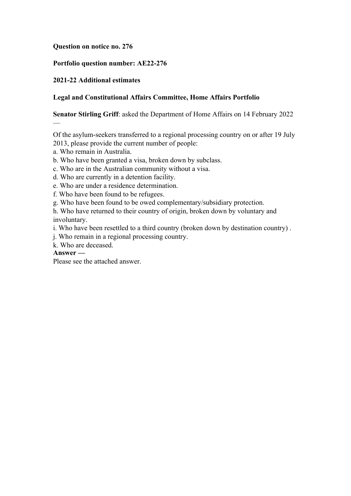#### **Question on notice no. 276**

#### **Portfolio question number: AE22-276**

## **2021-22 Additional estimates**

# **Legal and Constitutional Affairs Committee, Home Affairs Portfolio**

## **Senator Stirling Griff**: asked the Department of Home Affairs on 14 February 2022

Of the asylum-seekers transferred to a regional processing country on or after 19 July 2013, please provide the current number of people:

- a. Who remain in Australia.
- b. Who have been granted a visa, broken down by subclass.
- c. Who are in the Australian community without a visa.
- d. Who are currently in a detention facility.
- e. Who are under a residence determination.
- f. Who have been found to be refugees.
- g. Who have been found to be owed complementary/subsidiary protection.
- h. Who have returned to their country of origin, broken down by voluntary and involuntary.
- i. Who have been resettled to a third country (broken down by destination country) .
- j. Who remain in a regional processing country.
- k. Who are deceased.

#### **Answer —**

—

Please see the attached answer.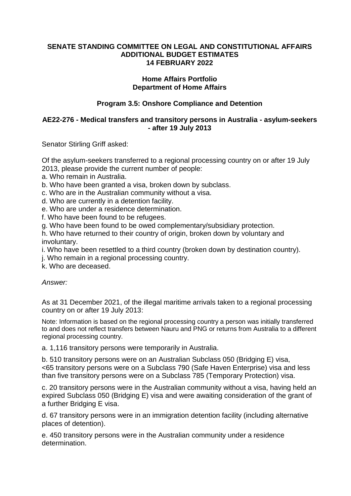#### **SENATE STANDING COMMITTEE ON LEGAL AND CONSTITUTIONAL AFFAIRS ADDITIONAL BUDGET ESTIMATES 14 FEBRUARY 2022**

#### **Home Affairs Portfolio Department of Home Affairs**

# **Program 3.5: Onshore Compliance and Detention**

## **AE22-276 - Medical transfers and transitory persons in Australia - asylum-seekers - after 19 July 2013**

Senator Stirling Griff asked:

Of the asylum-seekers transferred to a regional processing country on or after 19 July 2013, please provide the current number of people:

- a. Who remain in Australia.
- b. Who have been granted a visa, broken down by subclass.
- c. Who are in the Australian community without a visa.
- d. Who are currently in a detention facility.
- e. Who are under a residence determination.
- f. Who have been found to be refugees.
- g. Who have been found to be owed complementary/subsidiary protection.
- h. Who have returned to their country of origin, broken down by voluntary and involuntary.
- i. Who have been resettled to a third country (broken down by destination country).
- j. Who remain in a regional processing country.
- k. Who are deceased.

*Answer:*

As at 31 December 2021, of the illegal maritime arrivals taken to a regional processing country on or after 19 July 2013:

Note: Information is based on the regional processing country a person was initially transferred to and does not reflect transfers between Nauru and PNG or returns from Australia to a different regional processing country.

a. 1,116 transitory persons were temporarily in Australia.

b. 510 transitory persons were on an Australian Subclass 050 (Bridging E) visa, <65 transitory persons were on a Subclass 790 (Safe Haven Enterprise) visa and less than five transitory persons were on a Subclass 785 (Temporary Protection) visa.

c. 20 transitory persons were in the Australian community without a visa, having held an expired Subclass 050 (Bridging E) visa and were awaiting consideration of the grant of a further Bridging E visa.

d. 67 transitory persons were in an immigration detention facility (including alternative places of detention).

e. 450 transitory persons were in the Australian community under a residence determination.